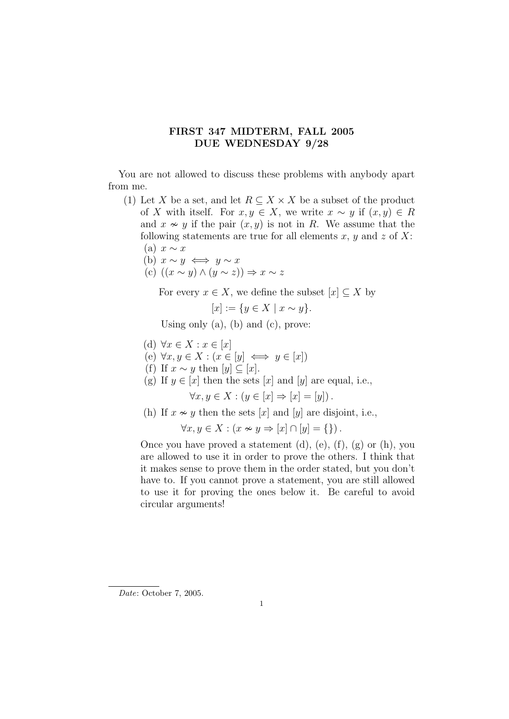## FIRST 347 MIDTERM, FALL 2005 DUE WEDNESDAY 9/28

You are not allowed to discuss these problems with anybody apart from me.

- (1) Let X be a set, and let  $R \subseteq X \times X$  be a subset of the product of X with itself. For  $x, y \in X$ , we write  $x \sim y$  if  $(x, y) \in R$ and  $x \nsim y$  if the pair  $(x, y)$  is not in R. We assume that the following statements are true for all elements x, y and z of X: (a)  $x \sim x$ 
	- (b)  $x \sim y \iff y \sim x$
	- (c)  $((x \sim y) \land (y \sim z)) \Rightarrow x \sim z$

For every  $x \in X$ , we define the subset  $[x] \subset X$  by

 $[x] := \{y \in X \mid x \sim y\}.$ 

Using only  $(a)$ ,  $(b)$  and  $(c)$ , prove:

- (d)  $\forall x \in X : x \in [x]$
- (e)  $\forall x, y \in X : (x \in [y] \iff y \in [x])$
- (f) If  $x \sim y$  then  $[y] \subseteq [x]$ .
- (g) If  $y \in [x]$  then the sets  $[x]$  and  $[y]$  are equal, i.e.,

 $\forall x, y \in X : (y \in [x] \Rightarrow [x] = [y]).$ 

(h) If  $x \sim y$  then the sets [x] and [y] are disjoint, i.e.,

$$
\forall x, y \in X : (x \nsim y \Rightarrow [x] \cap [y] = \{\}).
$$

Once you have proved a statement  $(d)$ ,  $(e)$ ,  $(f)$ ,  $(g)$  or  $(h)$ , you are allowed to use it in order to prove the others. I think that it makes sense to prove them in the order stated, but you don't have to. If you cannot prove a statement, you are still allowed to use it for proving the ones below it. Be careful to avoid circular arguments!

Date: October 7, 2005.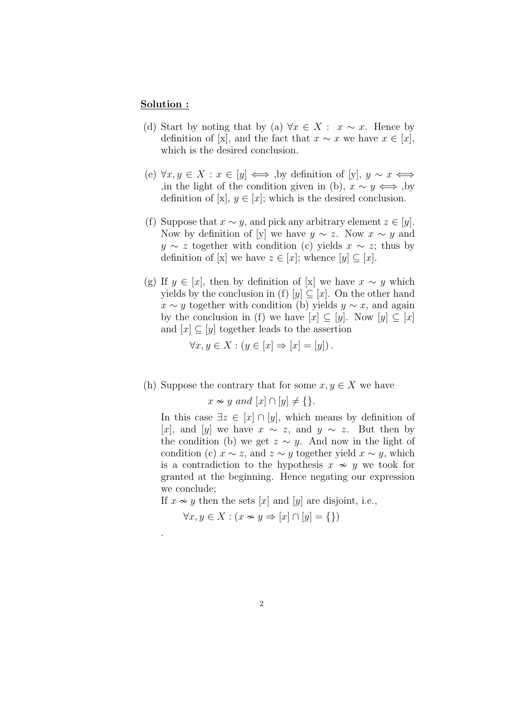## Solution :

.

- (d) Start by noting that by (a)  $\forall x \in X : x \sim x$ . Hence by definition of [x], and the fact that  $x \sim x$  we have  $x \in [x]$ , which is the desired conclusion.
- (e)  $\forall x, y \in X : x \in [y] \iff$ , by definition of [y],  $y \sim x \iff$ ,in the light of the condition given in (b),  $x \sim y \iff$ , by definition of [x],  $y \in [x]$ ; which is the desired conclusion.
- (f) Suppose that  $x \sim y$ , and pick any arbitrary element  $z \in [y]$ . Now by definition of [y] we have  $y \sim z$ . Now  $x \sim y$  and  $y \sim z$  together with condition (c) yields  $x \sim z$ ; thus by definition of [x] we have  $z \in [x]$ ; whence  $[y] \subseteq [x]$ .
- (g) If  $y \in [x]$ , then by definition of [x] we have  $x \sim y$  which yields by the conclusion in (f)  $[y] \subseteq [x]$ . On the other hand  $x \sim y$  together with condition (b) yields  $y \sim x$ , and again by the conclusion in (f) we have  $[x] \subseteq [y]$ . Now  $[y] \subseteq [x]$ and  $[x] \subseteq [y]$  together leads to the assertion

$$
\forall x, y \in X : (y \in [x] \Rightarrow [x] = [y]).
$$

(h) Suppose the contrary that for some  $x, y \in X$  we have

 $x \approx y$  and  $[x] \cap [y] \neq \{\}.$ 

In this case  $\exists z \in [x] \cap [y]$ , which means by definition of [x], and [y] we have  $x \sim z$ , and  $y \sim z$ . But then by the condition (b) we get  $z \sim y$ . And now in the light of condition (c)  $x \sim z$ , and  $z \sim y$  together yield  $x \sim y$ , which is a contradiction to the hypothesis  $x \sim y$  we took for granted at the beginning. Hence negating our expression we conclude;

If  $x \nsim y$  then the sets [x] and [y] are disjoint, i.e.,

 $\forall x, y \in X : (x \nsim y \Rightarrow [x] \cap [y] = \{\})$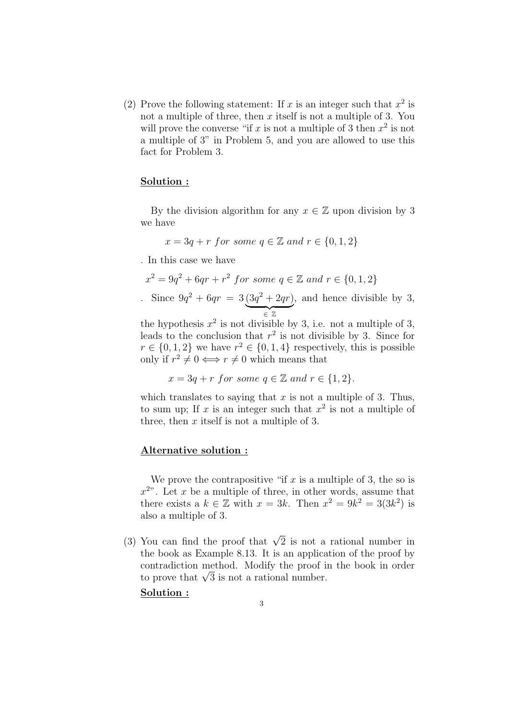(2) Prove the following statement: If x is an integer such that  $x^2$  is not a multiple of three, then  $x$  itself is not a multiple of 3. You will prove the converse "if x is not a multiple of 3 then  $x^2$  is not a multiple of 3" in Problem 5, and you are allowed to use this fact for Problem 3.

### Solution :

By the division algorithm for any  $x \in \mathbb{Z}$  upon division by 3 we have

$$
x = 3q + r \text{ for some } q \in \mathbb{Z} \text{ and } r \in \{0, 1, 2\}
$$

. In this case we have

$$
x^2 = 9q^2 + 6qr + r^2 \text{ for some } q \in \mathbb{Z} \text{ and } r \in \{0, 1, 2\}
$$

Since  $9q^2 + 6qr = 3(3q^2 + 2qr)$ | {z } ∈ Z , and hence divisible by 3,

the hypothesis  $x^2$  is not divisible by 3, i.e. not a multiple of 3, leads to the conclusion that  $r^2$  is not divisible by 3. Since for  $r \in \{0, 1, 2\}$  we have  $r^2 \in \{0, 1, 4\}$  respectively, this is possible only if  $r^2 \neq 0 \iff r \neq 0$  which means that

$$
x = 3q + r \text{ for some } q \in \mathbb{Z} \text{ and } r \in \{1, 2\}.
$$

which translates to saying that  $x$  is not a multiple of 3. Thus, to sum up; If x is an integer such that  $x^2$  is not a multiple of three, then  $x$  itself is not a multiple of 3.

### Alternative solution :

We prove the contrapositive "if  $x$  is a multiple of 3, the so is  $x^{2}$ . Let x be a multiple of three, in other words, assume that there exists a  $k \in \mathbb{Z}$  with  $x = 3k$ . Then  $x^2 = 9k^2 = 3(3k^2)$  is also a multiple of 3.

(3) You can find the proof that  $\sqrt{2}$  is not a rational number in the book as Example 8.13. It is an application of the proof by contradiction method. Modify the proof in the book in order contradiction method. Modify the proof  $i$  to prove that  $\sqrt{3}$  is not a rational number.

### Solution :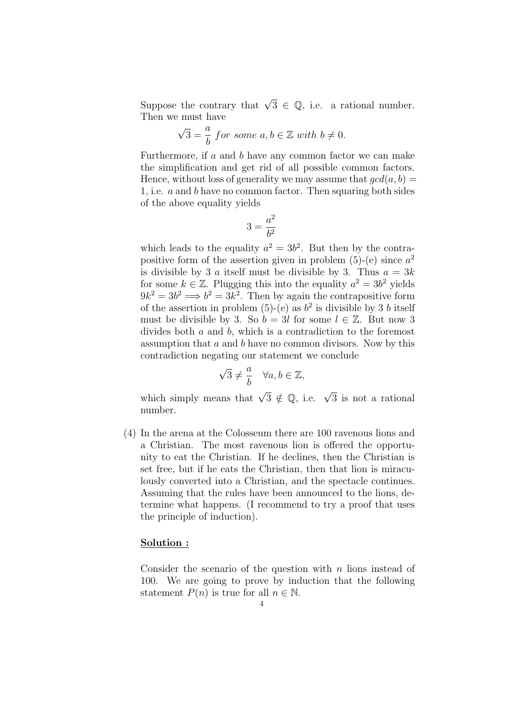Suppose the contrary that  $\sqrt{3} \in \mathbb{Q}$ , i.e. a rational number. Then we must have

$$
\sqrt{3} = \frac{a}{b}
$$
 for some  $a, b \in \mathbb{Z}$  with  $b \neq 0$ .

Furthermore, if  $a$  and  $b$  have any common factor we can make the simplification and get rid of all possible common factors. Hence, without loss of generality we may assume that  $gcd(a, b)$  = 1, i.e. a and b have no common factor. Then squaring both sides of the above equality yields

$$
3=\frac{a^2}{b^2}
$$

which leads to the equality  $a^2 = 3b^2$ . But then by the contrapositive form of the assertion given in problem  $(5)-(e)$  since  $a^2$ is divisible by 3 a itself must be divisible by 3. Thus  $a = 3k$ for some  $k \in \mathbb{Z}$ . Plugging this into the equality  $a^2 = 3b^2$  yields  $9k^2 = 3b^2 \Longrightarrow b^2 = 3k^2$ . Then by again the contrapositive form of the assertion in problem (5)-(e) as  $b^2$  is divisible by 3 b itself must be divisible by 3. So  $b = 3l$  for some  $l \in \mathbb{Z}$ . But now 3 divides both a and b, which is a contradiction to the foremost assumption that a and b have no common divisors. Now by this contradiction negating our statement we conclude

$$
\sqrt{3} \neq \frac{a}{b} \quad \forall a, b \in \mathbb{Z},
$$

which simply means that  $\sqrt{3} \notin \mathbb{Q}$ , i.e.  $\sqrt{3}$  is not a rational number.

(4) In the arena at the Colosseum there are 100 ravenous lions and a Christian. The most ravenous lion is offered the opportunity to eat the Christian. If he declines, then the Christian is set free, but if he eats the Christian, then that lion is miraculously converted into a Christian, and the spectacle continues. Assuming that the rules have been announced to the lions, determine what happens. (I recommend to try a proof that uses the principle of induction).

### Solution :

Consider the scenario of the question with  $n$  lions instead of 100. We are going to prove by induction that the following statement  $P(n)$  is true for all  $n \in \mathbb{N}$ .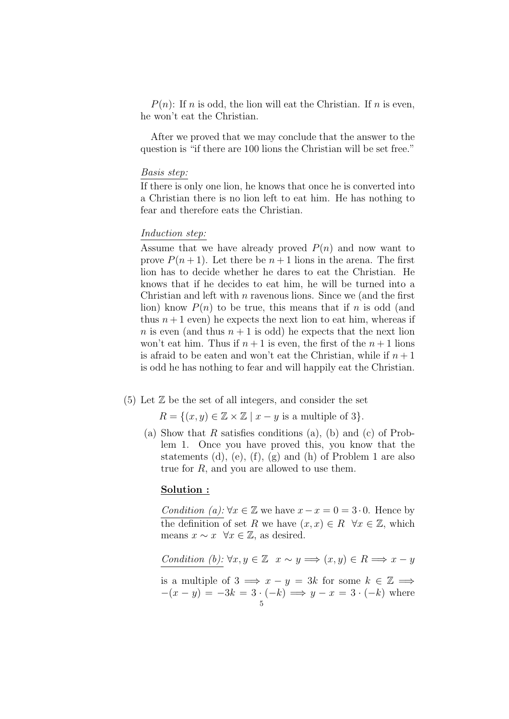$P(n)$ : If n is odd, the lion will eat the Christian. If n is even, he won't eat the Christian.

After we proved that we may conclude that the answer to the question is "if there are 100 lions the Christian will be set free."

#### Basis step:

If there is only one lion, he knows that once he is converted into a Christian there is no lion left to eat him. He has nothing to fear and therefore eats the Christian.

#### Induction step:

Assume that we have already proved  $P(n)$  and now want to prove  $P(n+1)$ . Let there be  $n+1$  lions in the arena. The first lion has to decide whether he dares to eat the Christian. He knows that if he decides to eat him, he will be turned into a Christian and left with  $n$  ravenous lions. Since we (and the first lion) know  $P(n)$  to be true, this means that if n is odd (and thus  $n+1$  even) he expects the next lion to eat him, whereas if n is even (and thus  $n + 1$  is odd) he expects that the next lion won't eat him. Thus if  $n+1$  is even, the first of the  $n+1$  lions is afraid to be eaten and won't eat the Christian, while if  $n+1$ is odd he has nothing to fear and will happily eat the Christian.

### $(5)$  Let  $\mathbb{Z}$  be the set of all integers, and consider the set

 $R = \{(x, y) \in \mathbb{Z} \times \mathbb{Z} \mid x - y \text{ is a multiple of } 3\}.$ 

(a) Show that  $R$  satisfies conditions (a), (b) and (c) of Problem 1. Once you have proved this, you know that the statements (d), (e), (f), (g) and (h) of Problem 1 are also true for  $R$ , and you are allowed to use them.

# Solution :

Condition (a):  $\forall x \in \mathbb{Z}$  we have  $x - x = 0 = 3 \cdot 0$ . Hence by the definition of set R we have  $(x, x) \in R \ \forall x \in \mathbb{Z}$ , which means  $x \sim x \quad \forall x \in \mathbb{Z}$ , as desired.

Condition (b):  $\forall x, y \in \mathbb{Z} \quad x \sim y \Longrightarrow (x, y) \in R \Longrightarrow x - y$ 

is a multiple of  $3 \implies x - y = 3k$  for some  $k \in \mathbb{Z} \implies$  $-(x - y) = -3k = 3 \cdot (-k) \implies y - x = 3 \cdot (-k)$  where 5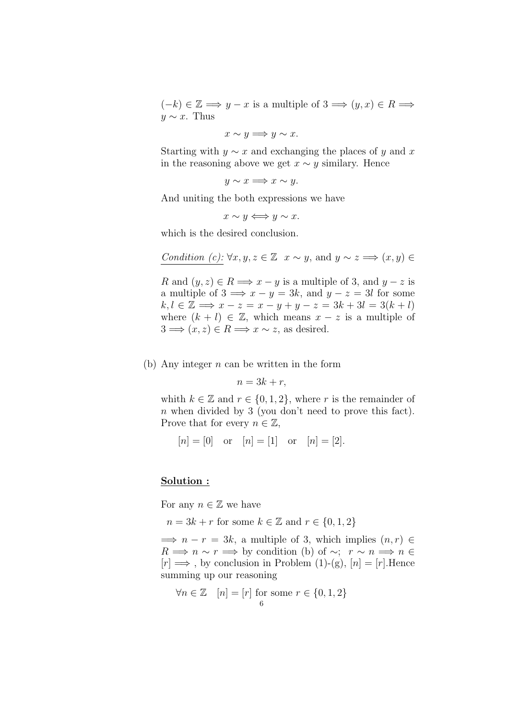$(-k) \in \mathbb{Z} \Longrightarrow y - x$  is a multiple of  $3 \Longrightarrow (y, x) \in R \Longrightarrow$  $y \sim x$ . Thus

 $x \sim y \Longrightarrow y \sim x.$ 

Starting with  $y \sim x$  and exchanging the places of y and x in the reasoning above we get  $x \sim y$  similary. Hence

 $y \sim x \Longrightarrow x \sim y$ .

And uniting the both expressions we have

 $x \sim y \Longleftrightarrow y \sim x.$ 

which is the desired conclusion.

Condition (c): 
$$
\forall x, y, z \in \mathbb{Z}
$$
  $x \sim y$ , and  $y \sim z \Longrightarrow (x, y) \in$ 

R and  $(y, z) \in R \Longrightarrow x - y$  is a multiple of 3, and  $y - z$  is a multiple of  $3 \implies x - y = 3k$ , and  $y - z = 3l$  for some  $k, l \in \mathbb{Z} \Longrightarrow x - z = x - y + y - z = 3k + 3l = 3(k + l)$ where  $(k + l) \in \mathbb{Z}$ , which means  $x - z$  is a multiple of  $3 \implies (x, z) \in R \implies x \sim z$ , as desired.

(b) Any integer  $n$  can be written in the form

$$
n = 3k + r,
$$

whith  $k \in \mathbb{Z}$  and  $r \in \{0, 1, 2\}$ , where r is the remainder of n when divided by 3 (you don't need to prove this fact). Prove that for every  $n \in \mathbb{Z}$ ,

$$
[n] = [0]
$$
 or  $[n] = [1]$  or  $[n] = [2]$ .

## Solution :

For any  $n \in \mathbb{Z}$  we have

 $n = 3k + r$  for some  $k \in \mathbb{Z}$  and  $r \in \{0, 1, 2\}$ 

 $\implies n-r = 3k$ , a multiple of 3, which implies  $(n, r) \in$  $R \implies n \sim r \implies$  by condition (b) of ~;  $r \sim n \implies n \in$  $[r] \Longrightarrow$ , by conclusion in Problem (1)-(g),  $[n] = [r]$ . Hence summing up our reasoning

$$
\forall n \in \mathbb{Z} \quad [n] = [r] \text{ for some } r \in \{0, 1, 2\}
$$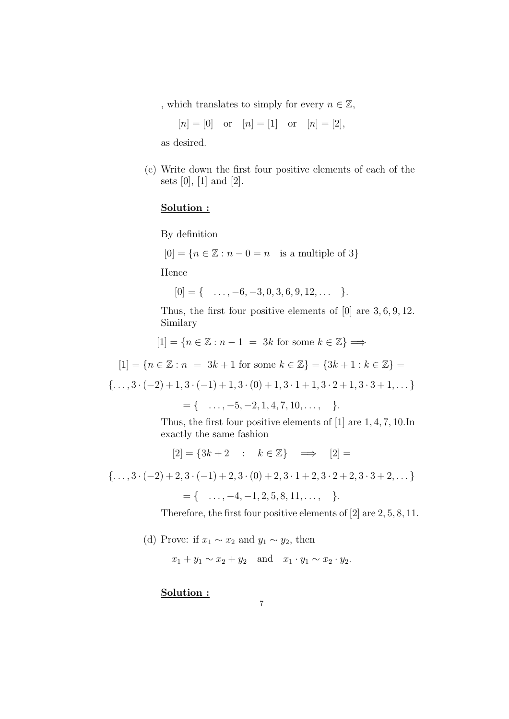, which translates to simply for every  $n \in \mathbb{Z}$ ,

 $[n] = [0]$  or  $[n] = [1]$  or  $[n] = [2]$ ,

as desired.

(c) Write down the first four positive elements of each of the sets  $[0], [1]$  and  $[2].$ 

# Solution :

By definition

 $[0] = \{n \in \mathbb{Z} : n - 0 = n \text{ is a multiple of } 3\}$ 

Hence

$$
[0] = \{ \dots, -6, -3, 0, 3, 6, 9, 12, \dots \}.
$$

Thus, the first four positive elements of [0] are 3, 6, 9, 12. Similary

 $[1] = \{n \in \mathbb{Z} : n-1 = 3k \text{ for some } k \in \mathbb{Z}\} \Longrightarrow$ 

 $[1] = \{n \in \mathbb{Z} : n = 3k + 1 \text{ for some } k \in \mathbb{Z}\} = \{3k + 1 : k \in \mathbb{Z}\} =$ 

 $\{\ldots, 3 \cdot (-2) + 1, 3 \cdot (-1) + 1, 3 \cdot (0) + 1, 3 \cdot 1 + 1, 3 \cdot 2 + 1, 3 \cdot 3 + 1, \ldots\}$ 

 $= \{ \dots, -5, -2, 1, 4, 7, 10, \dots, \}$ 

Thus, the first four positive elements of [1] are 1, 4, 7, 10.In exactly the same fashion

 $[2] = \{3k+2 : k \in \mathbb{Z}\} \implies [2] =$ 

 $\{ \ldots, 3 \cdot (-2) + 2, 3 \cdot (-1) + 2, 3 \cdot (0) + 2, 3 \cdot 1 + 2, 3 \cdot 2 + 2, 3 \cdot 3 + 2, \ldots \}$ 

 $= \{ \dots, -4, -1, 2, 5, 8, 11, \dots, \}$ 

Therefore, the first four positive elements of [2] are 2, 5, 8, 11.

(d) Prove: if  $x_1 \sim x_2$  and  $y_1 \sim y_2$ , then

 $x_1 + y_1 \sim x_2 + y_2$  and  $x_1 \cdot y_1 \sim x_2 \cdot y_2$ .

# Solution :